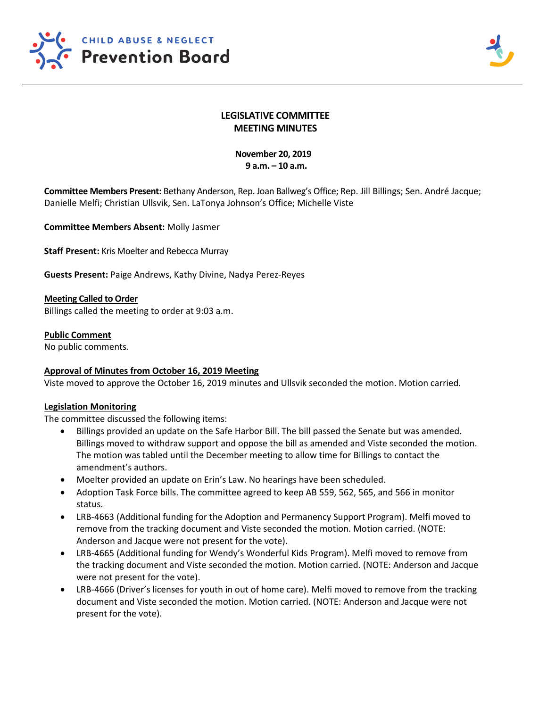



# **LEGISLATIVE COMMITTEE MEETING MINUTES**

## **November 20, 2019 9 a.m. – 10 a.m.**

**Committee Members Present:** Bethany Anderson, Rep. Joan Ballweg's Office; Rep. Jill Billings; Sen. André Jacque; Danielle Melfi; Christian Ullsvik, Sen. LaTonya Johnson's Office; Michelle Viste

**Committee Members Absent:** Molly Jasmer

**Staff Present:** Kris Moelter and Rebecca Murray

**Guests Present:** Paige Andrews, Kathy Divine, Nadya Perez-Reyes

#### **Meeting Called to Order**

Billings called the meeting to order at 9:03 a.m.

#### **Public Comment**

No public comments.

## **Approval of Minutes from October 16, 2019 Meeting**

Viste moved to approve the October 16, 2019 minutes and Ullsvik seconded the motion. Motion carried.

#### **Legislation Monitoring**

The committee discussed the following items:

- Billings provided an update on the Safe Harbor Bill. The bill passed the Senate but was amended. Billings moved to withdraw support and oppose the bill as amended and Viste seconded the motion. The motion was tabled until the December meeting to allow time for Billings to contact the amendment's authors.
- Moelter provided an update on Erin's Law. No hearings have been scheduled.
- Adoption Task Force bills. The committee agreed to keep AB 559, 562, 565, and 566 in monitor status.
- LRB-4663 (Additional funding for the Adoption and Permanency Support Program). Melfi moved to remove from the tracking document and Viste seconded the motion. Motion carried. (NOTE: Anderson and Jacque were not present for the vote).
- LRB-4665 (Additional funding for Wendy's Wonderful Kids Program). Melfi moved to remove from the tracking document and Viste seconded the motion. Motion carried. (NOTE: Anderson and Jacque were not present for the vote).
- LRB-4666 (Driver's licenses for youth in out of home care). Melfi moved to remove from the tracking document and Viste seconded the motion. Motion carried. (NOTE: Anderson and Jacque were not present for the vote).